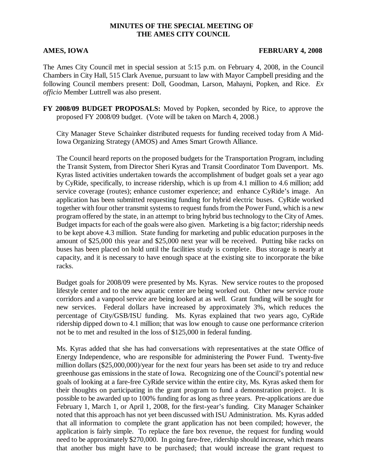## **MINUTES OF THE SPECIAL MEETING OF THE AMES CITY COUNCIL**

### **AMES, IOWA FEBRUARY 4, 2008**

The Ames City Council met in special session at 5:15 p.m. on February 4, 2008, in the Council Chambers in City Hall, 515 Clark Avenue, pursuant to law with Mayor Campbell presiding and the following Council members present: Doll, Goodman, Larson, Mahayni, Popken, and Rice. *Ex officio* Member Luttrell was also present.

**FY 2008/09 BUDGET PROPOSALS:** Moved by Popken, seconded by Rice, to approve the proposed FY 2008/09 budget. (Vote will be taken on March 4, 2008.)

City Manager Steve Schainker distributed requests for funding received today from A Mid-Iowa Organizing Strategy (AMOS) and Ames Smart Growth Alliance.

The Council heard reports on the proposed budgets for the Transportation Program, including the Transit System, from Director Sheri Kyras and Transit Coordinator Tom Davenport. Ms. Kyras listed activities undertaken towards the accomplishment of budget goals set a year ago by CyRide, specifically, to increase ridership, which is up from 4.1 million to 4.6 million; add service coverage (routes); enhance customer experience; and enhance CyRide's image. An application has been submitted requesting funding for hybrid electric buses. CyRide worked together with four other transmit systems to request funds from the Power Fund, which is a new program offered by the state, in an attempt to bring hybrid bus technology to the City of Ames. Budget impacts for each of the goals were also given. Marketing is a big factor; ridership needs to be kept above 4.3 million. State funding for marketing and public education purposes in the amount of \$25,000 this year and \$25,000 next year will be received. Putting bike racks on buses has been placed on hold until the facilities study is complete. Bus storage is nearly at capacity, and it is necessary to have enough space at the existing site to incorporate the bike racks.

Budget goals for 2008/09 were presented by Ms. Kyras. New service routes to the proposed lifestyle center and to the new aquatic center are being worked out. Other new service route corridors and a vanpool service are being looked at as well. Grant funding will be sought for new services. Federal dollars have increased by approximately 3%, which reduces the percentage of City/GSB/ISU funding. Ms. Kyras explained that two years ago, CyRide ridership dipped down to 4.1 million; that was low enough to cause one performance criterion not be to met and resulted in the loss of \$125,000 in federal funding.

Ms. Kyras added that she has had conversations with representatives at the state Office of Energy Independence, who are responsible for administering the Power Fund. Twenty-five million dollars (\$25,000,000)/year for the next four years has been set aside to try and reduce greenhouse gas emissions in the state of Iowa. Recognizing one of the Council's potential new goals of looking at a fare-free CyRide service within the entire city, Ms. Kyras asked them for their thoughts on participating in the grant program to fund a demonstration project. It is possible to be awarded up to 100% funding for as long as three years. Pre-applications are due February 1, March 1, or April 1, 2008, for the first-year's funding. City Manager Schainker noted that this approach has not yet been discussed with ISU Administration. Ms. Kyras added that all information to complete the grant application has not been compiled; however, the application is fairly simple. To replace the fare box revenue, the request for funding would need to be approximately \$270,000. In going fare-free, ridership should increase, which means that another bus might have to be purchased; that would increase the grant request to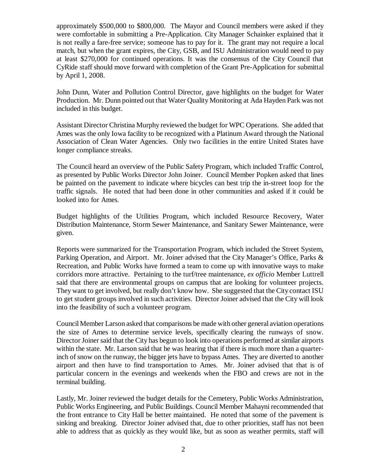approximately \$500,000 to \$800,000. The Mayor and Council members were asked if they were comfortable in submitting a Pre-Application. City Manager Schainker explained that it is not really a fare-free service; someone has to pay for it. The grant may not require a local match, but when the grant expires, the City, GSB, and ISU Administration would need to pay at least \$270,000 for continued operations. It was the consensus of the City Council that CyRide staff should move forward with completion of the Grant Pre-Application for submittal by April 1, 2008.

John Dunn, Water and Pollution Control Director, gave highlights on the budget for Water Production. Mr. Dunn pointed out that Water Quality Monitoring at Ada Hayden Park was not included in this budget.

Assistant Director Christina Murphy reviewed the budget for WPC Operations. She added that Ames was the only Iowa facility to be recognized with a Platinum Award through the National Association of Clean Water Agencies. Only two facilities in the entire United States have longer compliance streaks.

The Council heard an overview of the Public Safety Program, which included Traffic Control, as presented by Public Works Director John Joiner. Council Member Popken asked that lines be painted on the pavement to indicate where bicycles can best trip the in-street loop for the traffic signals. He noted that had been done in other communities and asked if it could be looked into for Ames.

Budget highlights of the Utilities Program, which included Resource Recovery, Water Distribution Maintenance, Storm Sewer Maintenance, and Sanitary Sewer Maintenance, were given.

Reports were summarized for the Transportation Program, which included the Street System, Parking Operation, and Airport. Mr. Joiner advised that the City Manager's Office, Parks & Recreation, and Public Works have formed a team to come up with innovative ways to make corridors more attractive. Pertaining to the turf/tree maintenance, *ex officio* Member Luttrell said that there are environmental groups on campus that are looking for volunteer projects. They want to get involved, but really don't know how. She suggested that the City contact ISU to get student groups involved in such activities. Director Joiner advised that the City will look into the feasibility of such a volunteer program.

Council Member Larson asked that comparisons be made with other general aviation operations the size of Ames to determine service levels, specifically clearing the runways of snow. Director Joiner said that the City has begun to look into operations performed at similar airports within the state. Mr. Larson said that he was hearing that if there is much more than a quarterinch of snow on the runway, the bigger jets have to bypass Ames. They are diverted to another airport and then have to find transportation to Ames. Mr. Joiner advised that that is of particular concern in the evenings and weekends when the FBO and crews are not in the terminal building.

Lastly, Mr. Joiner reviewed the budget details for the Cemetery, Public Works Administration, Public Works Engineering, and Public Buildings. Council Member Mahayni recommended that the front entrance to City Hall be better maintained. He noted that some of the pavement is sinking and breaking. Director Joiner advised that, due to other priorities, staff has not been able to address that as quickly as they would like, but as soon as weather permits, staff will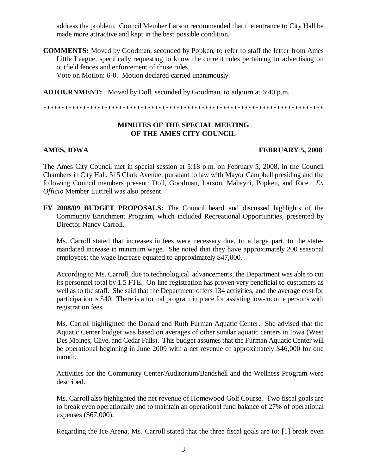address the problem. Council Member Larson recommended that the entrance to City Hall be made more attractive and kept in the best possible condition.

**COMMENTS:** Moved by Goodman, seconded by Popken, to refer to staff the letter from Ames Little League, specifically requesting to know the current rules pertaining to advertising on outfield fences and enforcement of those rules.

Vote on Motion: 6-0. Motion declared carried unanimously.

**ADJOURNMENT:** Moved by Doll, seconded by Goodman, to adjourn at 6:40 p.m.

\*\*\*\*\*\*\*\*\*\*\*\*\*\*\*\*\*\*\*\*\*\*\*\*\*\*\*\*\*\*\*\*\*\*\*\*\*\*\*\*\*\*\*\*\*\*\*\*\*\*\*\*\*\*\*\*\*\*\*\*\*\*\*\*\*\*\*\*\*\*\*\*\*\*\*\*\*\*

## **MINUTES OF THE SPECIAL MEETING OF THE AMES CITY COUNCIL**

## **AMES, IOWA FEBRUARY 5, 2008**

The Ames City Council met in special session at 5:18 p.m. on February 5, 2008, in the Council Chambers in City Hall, 515 Clark Avenue, pursuant to law with Mayor Campbell presiding and the following Council members present: Doll, Goodman, Larson, Mahayni, Popken, and Rice. *Ex Officio* Member Luttrell was also present.

**FY 2008/09 BUDGET PROPOSALS:** The Council heard and discussed highlights of the Community Enrichment Program, which included Recreational Opportunities, presented by Director Nancy Carroll.

Ms. Carroll stated that increases in fees were necessary due, to a large part, to the statemandated increase in minimum wage. She noted that they have approximately 200 seasonal employees; the wage increase equated to approximately \$47,000.

According to Ms. Carroll, due to technological advancements, the Department was able to cut its personnel total by 1.5 FTE. On-line registration has proven very beneficial to customers as well as to the staff. She said that the Department offers 134 activities, and the average cost for participation is \$40. There is a formal program in place for assisting low-income persons with registration fees.

Ms. Carroll highlighted the Donald and Ruth Furman Aquatic Center. She advised that the Aquatic Center budget was based on averages of other similar aquatic centers in Iowa (West Des Moines, Clive, and Cedar Falls). This budget assumes that the Furman Aquatic Center will be operational beginning in June 2009 with a net revenue of approximately \$46,000 for one month.

Activities for the Community Center/Auditorium/Bandshell and the Wellness Program were described.

 Ms. Carroll also highlighted the net revenue of Homewood Golf Course. Two fiscal goals are to break even operationally and to maintain an operational fund balance of 27% of operational expenses (\$67,000).

Regarding the Ice Arena, Ms. Carroll stated that the three fiscal goals are to: [1] break even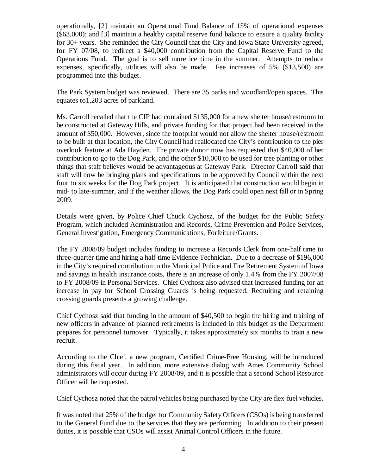operationally, [2] maintain an Operational Fund Balance of 15% of operational expenses (\$63,000); and [3] maintain a healthy capital reserve fund balance to ensure a quality facility for 30+ years. She reminded the City Council that the City and Iowa State University agreed, for FY 07/08, to redirect a \$40,000 contribution from the Capital Reserve Fund to the Operations Fund. The goal is to sell more ice time in the summer. Attempts to reduce expenses, specifically, utilities will also be made. Fee increases of 5% (\$13,500) are programmed into this budget.

The Park System budget was reviewed. There are 35 parks and woodland/open spaces. This equates to1,203 acres of parkland.

Ms. Carroll recalled that the CIP had contained \$135,000 for a new shelter house/restroom to be constructed at Gateway Hills, and private funding for that project had been received in the amount of \$50,000. However, since the footprint would not allow the shelter house/restroom to be built at that location, the City Council had reallocated the City's contribution to the pier overlook feature at Ada Hayden. The private donor now has requested that \$40,000 of her contribution to go to the Dog Park, and the other \$10,000 to be used for tree planting or other things that staff believes would be advantageous at Gateway Park. Director Carroll said that staff will now be bringing plans and specifications to be approved by Council within the next four to six weeks for the Dog Park project. It is anticipated that construction would begin in mid- to late-summer, and if the weather allows, the Dog Park could open next fall or in Spring 2009.

Details were given, by Police Chief Chuck Cychosz, of the budget for the Public Safety Program, which included Administration and Records, Crime Prevention and Police Services, General Investigation, Emergency Communications, Forfeiture/Grants.

The FY 2008/09 budget includes funding to increase a Records Clerk from one-half time to three-quarter time and hiring a half-time Evidence Technician. Due to a decrease of \$196,000 in the City's required contribution to the Municipal Police and Fire Retirement System of Iowa and savings in health insurance costs, there is an increase of only 1.4% from the FY 2007/08 to FY 2008/09 in Personal Services. Chief Cychosz also advised that increased funding for an increase in pay for School Crossing Guards is being requested. Recruiting and retaining crossing guards presents a growing challenge.

Chief Cychosz said that funding in the amount of \$40,500 to begin the hiring and training of new officers in advance of planned retirements is included in this budget as the Department prepares for personnel turnover. Typically, it takes approximately six months to train a new recruit.

According to the Chief, a new program, Certified Crime-Free Housing, will be introduced during this fiscal year. In addition, more extensive dialog with Ames Community School administrators will occur during FY 2008/09, and it is possible that a second School Resource Officer will be requested.

Chief Cychosz noted that the patrol vehicles being purchased by the City are flex-fuel vehicles.

It was noted that 25% of the budget for Community Safety Officers (CSOs) is being transferred to the General Fund due to the services that they are performing. In addition to their present duties, it is possible that CSOs will assist Animal Control Officers in the future.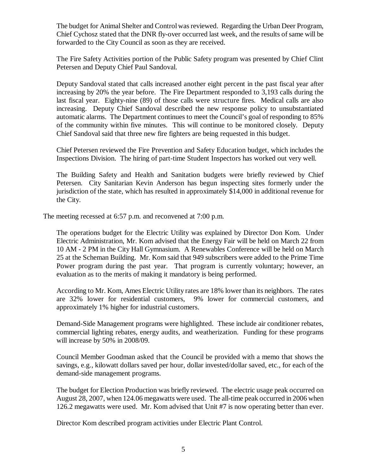The budget for Animal Shelter and Control was reviewed. Regarding the Urban Deer Program, Chief Cychosz stated that the DNR fly-over occurred last week, and the results of same will be forwarded to the City Council as soon as they are received.

The Fire Safety Activities portion of the Public Safety program was presented by Chief Clint Petersen and Deputy Chief Paul Sandoval.

Deputy Sandoval stated that calls increased another eight percent in the past fiscal year after increasing by 20% the year before. The Fire Department responded to 3,193 calls during the last fiscal year. Eighty-nine (89) of those calls were structure fires. Medical calls are also increasing. Deputy Chief Sandoval described the new response policy to unsubstantiated automatic alarms. The Department continues to meet the Council's goal of responding to 85% of the community within five minutes. This will continue to be monitored closely. Deputy Chief Sandoval said that three new fire fighters are being requested in this budget.

Chief Petersen reviewed the Fire Prevention and Safety Education budget, which includes the Inspections Division. The hiring of part-time Student Inspectors has worked out very well.

The Building Safety and Health and Sanitation budgets were briefly reviewed by Chief Petersen. City Sanitarian Kevin Anderson has begun inspecting sites formerly under the jurisdiction of the state, which has resulted in approximately \$14,000 in additional revenue for the City.

The meeting recessed at 6:57 p.m. and reconvened at 7:00 p.m.

The operations budget for the Electric Utility was explained by Director Don Kom. Under Electric Administration, Mr. Kom advised that the Energy Fair will be held on March 22 from 10 AM - 2 PM in the City Hall Gymnasium. A Renewables Conference will be held on March 25 at the Scheman Building. Mr. Kom said that 949 subscribers were added to the Prime Time Power program during the past year. That program is currently voluntary; however, an evaluation as to the merits of making it mandatory is being performed.

According to Mr. Kom, Ames Electric Utility rates are 18% lower than its neighbors. The rates are 32% lower for residential customers, 9% lower for commercial customers, and approximately 1% higher for industrial customers.

Demand-Side Management programs were highlighted. These include air conditioner rebates, commercial lighting rebates, energy audits, and weatherization. Funding for these programs will increase by 50% in 2008/09.

Council Member Goodman asked that the Council be provided with a memo that shows the savings, e.g., kilowatt dollars saved per hour, dollar invested/dollar saved, etc., for each of the demand-side management programs.

The budget for Election Production was briefly reviewed. The electric usage peak occurred on August 28, 2007, when 124.06 megawatts were used. The all-time peak occurred in 2006 when 126.2 megawatts were used. Mr. Kom advised that Unit #7 is now operating better than ever.

Director Kom described program activities under Electric Plant Control.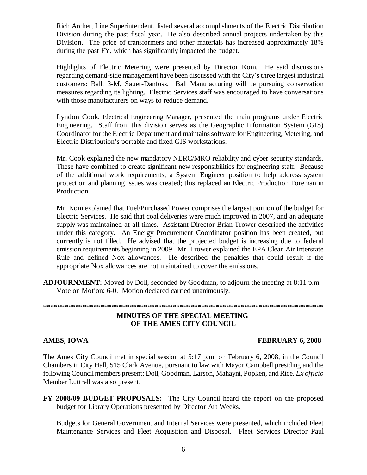Rich Archer, Line Superintendent, listed several accomplishments of the Electric Distribution Division during the past fiscal year. He also described annual projects undertaken by this Division. The price of transformers and other materials has increased approximately 18% during the past FY, which has significantly impacted the budget.

Highlights of Electric Metering were presented by Director Kom. He said discussions regarding demand-side management have been discussed with the City's three largest industrial customers: Ball, 3-M, Sauer-Danfoss. Ball Manufacturing will be pursuing conservation measures regarding its lighting. Electric Services staff was encouraged to have conversations with those manufacturers on ways to reduce demand.

Lyndon Cook, Electrical Engineering Manager, presented the main programs under Electric Engineering. Staff from this division serves as the Geographic Information System (GIS) Coordinator for the Electric Department and maintains software for Engineering, Metering, and Electric Distribution's portable and fixed GIS workstations.

Mr. Cook explained the new mandatory NERC/MRO reliability and cyber security standards. These have combined to create significant new responsibilities for engineering staff. Because of the additional work requirements, a System Engineer position to help address system protection and planning issues was created; this replaced an Electric Production Foreman in Production.

Mr. Kom explained that Fuel/Purchased Power comprises the largest portion of the budget for Electric Services. He said that coal deliveries were much improved in 2007, and an adequate supply was maintained at all times. Assistant Director Brian Trower described the activities under this category. An Energy Procurement Coordinator position has been created, but currently is not filled. He advised that the projected budget is increasing due to federal emission requirements beginning in 2009. Mr. Trower explained the EPA Clean Air Interstate Rule and defined Nox allowances. He described the penalties that could result if the appropriate Nox allowances are not maintained to cover the emissions.

**ADJOURNMENT:** Moved by Doll, seconded by Goodman, to adjourn the meeting at 8:11 p.m. Vote on Motion: 6-0. Motion declared carried unanimously.

# \*\*\*\*\*\*\*\*\*\*\*\*\*\*\*\*\*\*\*\*\*\*\*\*\*\*\*\*\*\*\*\*\*\*\*\*\*\*\*\*\*\*\*\*\*\*\*\*\*\*\*\*\*\*\*\*\*\*\*\*\*\*\*\*\*\*\*\*\*\*\*\*\*\*\*\*\*\*

### **MINUTES OF THE SPECIAL MEETING OF THE AMES CITY COUNCIL**

## **AMES, IOWA FEBRUARY 6, 2008**

The Ames City Council met in special session at 5:17 p.m. on February 6, 2008, in the Council Chambers in City Hall, 515 Clark Avenue, pursuant to law with Mayor Campbell presiding and the following Council members present: Doll, Goodman, Larson, Mahayni, Popken, and Rice. *Ex officio* Member Luttrell was also present.

**FY 2008/09 BUDGET PROPOSALS:** The City Council heard the report on the proposed budget for Library Operations presented by Director Art Weeks.

Budgets for General Government and Internal Services were presented, which included Fleet Maintenance Services and Fleet Acquisition and Disposal. Fleet Services Director Paul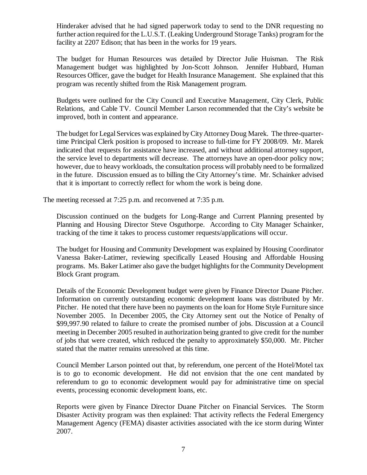Hinderaker advised that he had signed paperwork today to send to the DNR requesting no further action required for the L.U.S.T. (Leaking Underground Storage Tanks) program for the facility at 2207 Edison; that has been in the works for 19 years.

The budget for Human Resources was detailed by Director Julie Huisman. The Risk Management budget was highlighted by Jon-Scott Johnson. Jennifer Hubbard, Human Resources Officer, gave the budget for Health Insurance Management. She explained that this program was recently shifted from the Risk Management program.

Budgets were outlined for the City Council and Executive Management, City Clerk, Public Relations, and Cable TV. Council Member Larson recommended that the City's website be improved, both in content and appearance.

The budget for Legal Services was explained by City Attorney Doug Marek. The three-quartertime Principal Clerk position is proposed to increase to full-time for FY 2008/09. Mr. Marek indicated that requests for assistance have increased, and without additional attorney support, the service level to departments will decrease. The attorneys have an open-door policy now; however, due to heavy workloads, the consultation process will probably need to be formalized in the future. Discussion ensued as to billing the City Attorney's time. Mr. Schainker advised that it is important to correctly reflect for whom the work is being done.

The meeting recessed at 7:25 p.m. and reconvened at 7:35 p.m.

Discussion continued on the budgets for Long-Range and Current Planning presented by Planning and Housing Director Steve Osguthorpe. According to City Manager Schainker, tracking of the time it takes to process customer requests/applications will occur.

The budget for Housing and Community Development was explained by Housing Coordinator Vanessa Baker-Latimer, reviewing specifically Leased Housing and Affordable Housing programs. Ms. Baker Latimer also gave the budget highlights for the Community Development Block Grant program.

Details of the Economic Development budget were given by Finance Director Duane Pitcher. Information on currently outstanding economic development loans was distributed by Mr. Pitcher. He noted that there have been no payments on the loan for Home Style Furniture since November 2005. In December 2005, the City Attorney sent out the Notice of Penalty of \$99,997.90 related to failure to create the promised number of jobs. Discussion at a Council meeting in December 2005 resulted in authorization being granted to give credit for the number of jobs that were created, which reduced the penalty to approximately \$50,000. Mr. Pitcher stated that the matter remains unresolved at this time.

Council Member Larson pointed out that, by referendum, one percent of the Hotel/Motel tax is to go to economic development. He did not envision that the one cent mandated by referendum to go to economic development would pay for administrative time on special events, processing economic development loans, etc.

Reports were given by Finance Director Duane Pitcher on Financial Services. The Storm Disaster Activity program was then explained: That activity reflects the Federal Emergency Management Agency (FEMA) disaster activities associated with the ice storm during Winter 2007.